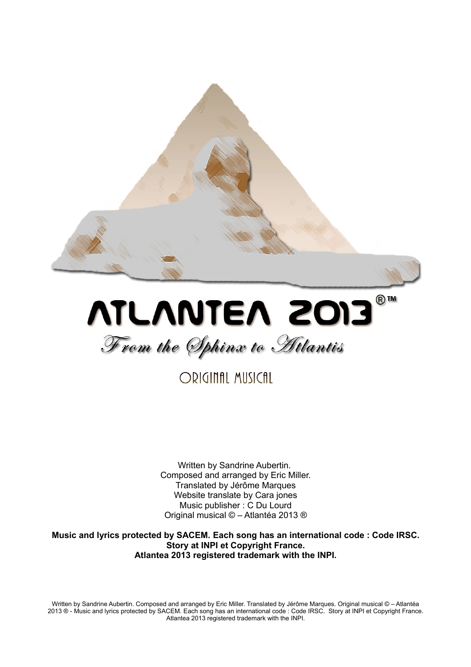



ORIGINAL MUSICAL

Written by Sandrine Aubertin. Composed and arranged by Eric Miller. Translated by Jérôme Marques Website translate by Cara jones Music publisher : C Du Lourd Original musical © – Atlantéa 2013 ®

**Music and lyrics protected by SACEM. Each song has an international code : Code IRSC. Story at INPI et Copyright France. Atlantea 2013 registered trademark with the INPI.**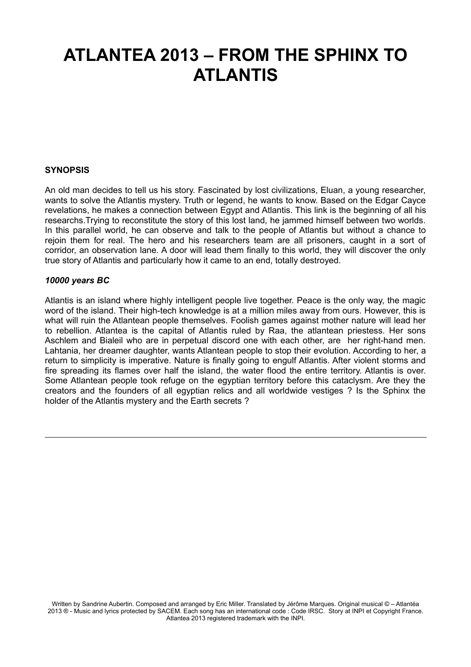# **ATLANTEA 2013 – FROM THE SPHINX TO ATLANTIS**

#### **SYNOPSIS**

An old man decides to tell us his story. Fascinated by lost civilizations, Eluan, a young researcher, wants to solve the Atlantis mystery. Truth or legend, he wants to know. Based on the Edgar Cayce revelations, he makes a connection between Egypt and Atlantis. This link is the beginning of all his researchs.Trying to reconstitute the story of this lost land, he jammed himself between two worlds. In this parallel world, he can observe and talk to the people of Atlantis but without a chance to rejoin them for real. The hero and his researchers team are all prisoners, caught in a sort of corridor, an observation lane. A door will lead them finally to this world, they will discover the only true story of Atlantis and particularly how it came to an end, totally destroyed.

#### *10000 years BC*

Atlantis is an island where highly intelligent people live together. Peace is the only way, the magic word of the island. Their high-tech knowledge is at a million miles away from ours. However, this is what will ruin the Atlantean people themselves. Foolish games against mother nature will lead her to rebellion. Atlantea is the capital of Atlantis ruled by Raa, the atlantean priestess. Her sons Aschlem and Bialeil who are in perpetual discord one with each other, are her right-hand men. Lahtania, her dreamer daughter, wants Atlantean people to stop their evolution. According to her, a return to simplicity is imperative. Nature is finally going to engulf Atlantis. After violent storms and fire spreading its flames over half the island, the water flood the entire territory. Atlantis is over. Some Atlantean people took refuge on the egyptian territory before this cataclysm. Are they the creators and the founders of all egyptian relics and all worldwide vestiges ? Is the Sphinx the holder of the Atlantis mystery and the Earth secrets ?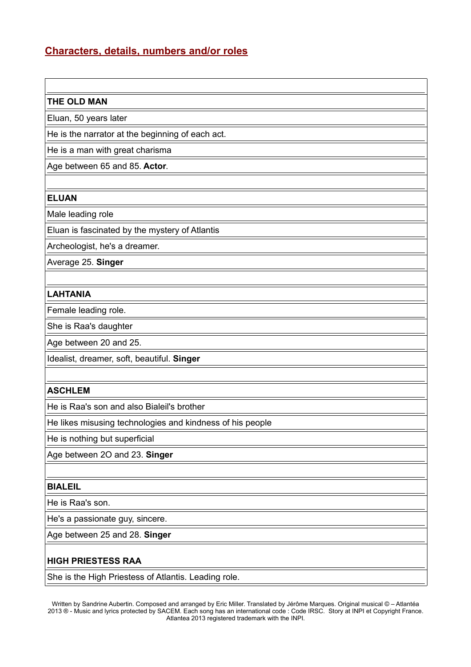### **Characters, details, numbers and/or roles**

#### **THE OLD MAN**

Eluan, 50 years later

He is the narrator at the beginning of each act.

He is a man with great charisma

Age between 65 and 85. **Actor**.

#### **ELUAN**

Male leading role

Eluan is fascinated by the mystery of Atlantis

Archeologist, he's a dreamer.

Average 25. **Singer**

#### **LAHTANIA**

Female leading role.

She is Raa's daughter

Age between 20 and 25.

Idealist, dreamer, soft, beautiful. **Singer**

#### **ASCHLEM**

He is Raa's son and also Bialeil's brother

He likes misusing technologies and kindness of his people

He is nothing but superficial

Age between 2O and 23. **Singer**

#### **BIALEIL**

He is Raa's son.

He's a passionate guy, sincere.

Age between 25 and 28. **Singer**

### **HIGH PRIESTESS RAA**

She is the High Priestess of Atlantis. Leading role.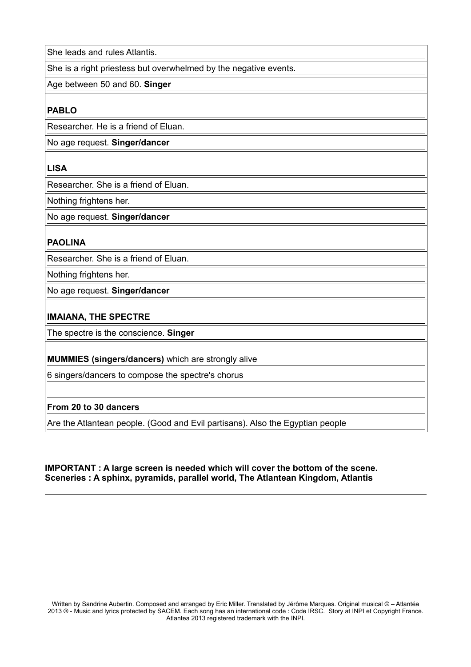She leads and rules Atlantis.

She is a right priestess but overwhelmed by the negative events.

Age between 50 and 60. **Singer**

#### **PABLO**

Researcher. He is a friend of Eluan.

No age request. **Singer/dancer**

#### **LISA**

Researcher. She is a friend of Eluan.

Nothing frightens her.

No age request. **Singer/dancer**

#### **PAOLINA**

Researcher. She is a friend of Eluan.

Nothing frightens her.

No age request. **Singer/dancer**

### **IMAIANA, THE SPECTRE**

The spectre is the conscience. **Singer**

#### **MUMMIES (singers/dancers)** which are strongly alive

6 singers/dancers to compose the spectre's chorus

### **From 20 to 30 dancers**

Are the Atlantean people. (Good and Evil partisans). Also the Egyptian people

#### **IMPORTANT : A large screen is needed which will cover the bottom of the scene. Sceneries : A sphinx, pyramids, parallel world, The Atlantean Kingdom, Atlantis**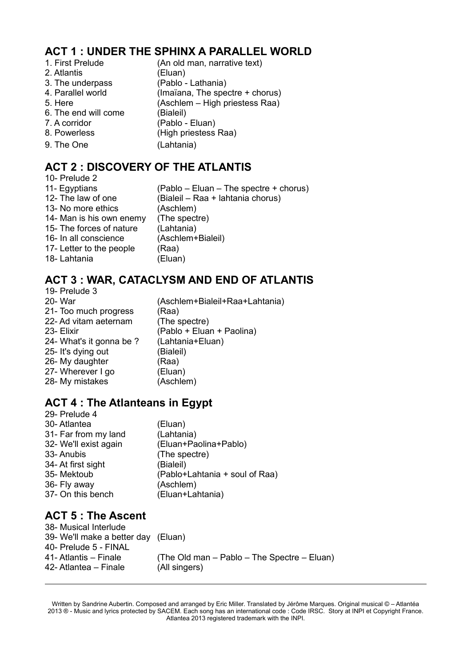# **ACT 1 : UNDER THE SPHINX A PARALLEL WORLD**

- 2. Atlantis (Eluan)
- 
- 
- 
- 
- 6. The end will come (Bialeil)
- 
- 
- 9. The One (Lahtania)
- 1. First Prelude (An old man, narrative text) 3. The underpass (Pablo - Lathania) 4. Parallel world (Imaïana, The spectre + chorus) 5. Here (Aschlem – High priestess Raa) 7. A corridor (Pablo - Eluan) 8. Powerless (High priestess Raa)

# **ACT 2 : DISCOVERY OF THE ATLANTIS**

10- Prelude 2 11- Egyptians (Pablo – Eluan – The spectre + chorus) 12- The law of one (Bialeil – Raa + lahtania chorus) 13- No more ethics (Aschlem) 14- Man is his own enemy (The spectre) 15- The forces of nature (Lahtania) 16- In all conscience (Aschlem+Bialeil) 17- Letter to the people (Raa) 18- Lahtania (Eluan)

# **ACT 3 : WAR, CATACLYSM AND END OF ATLANTIS**

19- Prelude 3 20- War (Aschlem+Bialeil+Raa+Lahtania) 21- Too much progress (Raa) 22- Ad vitam aeternam (The spectre) 23- Elixir (Pablo + Eluan + Paolina) 24- What's it gonna be ? (Lahtania+Eluan) 25- It's dying out (Bialeil) 26- My daughter (Raa) 27- Wherever I go (Eluan) 28- My mistakes (Aschlem)

# **ACT 4 : The Atlanteans in Egypt**

| 29- Prelude 4         |                                |
|-----------------------|--------------------------------|
| 30-Atlantea           | (Eluan)                        |
| 31- Far from my land  | (Lahtania)                     |
| 32- We'll exist again | (Eluan+Paolina+Pablo)          |
| 33- Anubis            | (The spectre)                  |
| 34- At first sight    | (Bialeil)                      |
| 35- Mektoub           | (Pablo+Lahtania + soul of Raa) |
| 36- Fly away          | (Aschlem)                      |
| 37- On this bench     | (Eluan+Lahtania)               |
|                       |                                |

# **ACT 5 : The Ascent**

| 38- Musical Interlude               |                                             |
|-------------------------------------|---------------------------------------------|
| 39- We'll make a better day (Eluan) |                                             |
| 40- Prelude 5 - FINAL               |                                             |
| 41- Atlantis – Finale               | (The Old man – Pablo – The Spectre – Eluan) |
| 42- Atlantea – Finale               | (All singers)                               |
|                                     |                                             |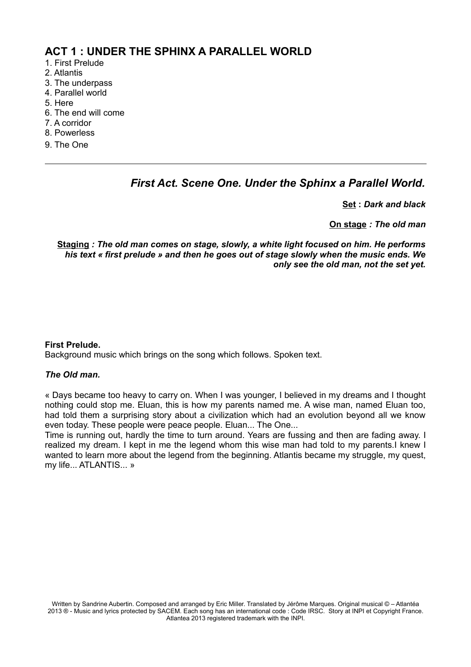### **ACT 1 : UNDER THE SPHINX A PARALLEL WORLD**

- 1. First Prelude
- 2. Atlantis
- 3. The underpass
- 4. Parallel world
- 5. Here
- 6. The end will come
- 7. A corridor
- 8. Powerless
- 9. The One

### *First Act. Scene One. Under the Sphinx a Parallel World.*

**Set :** *Dark and black*

**On stage** *: The old man*

**Staging** *: The old man comes on stage, slowly, a white light focused on him. He performs his text « first prelude » and then he goes out of stage slowly when the music ends. We only see the old man, not the set yet.*

#### **First Prelude.**

Background music which brings on the song which follows. Spoken text.

#### *The Old man.*

« Days became too heavy to carry on. When I was younger, I believed in my dreams and I thought nothing could stop me. Eluan, this is how my parents named me. A wise man, named Eluan too, had told them a surprising story about a civilization which had an evolution beyond all we know even today. These people were peace people. Eluan... The One...

Time is running out, hardly the time to turn around. Years are fussing and then are fading away. I realized my dream. I kept in me the legend whom this wise man had told to my parents.I knew I wanted to learn more about the legend from the beginning. Atlantis became my struggle, my quest, my life... ATLANTIS... »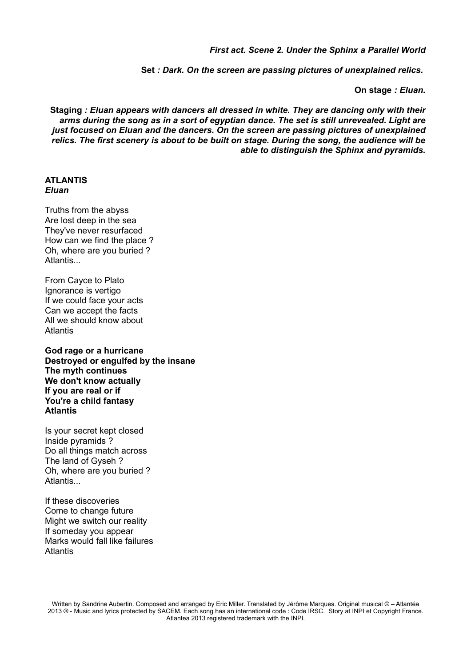*First act. Scene 2. Under the Sphinx a Parallel World*

**Set** *: Dark. On the screen are passing pictures of unexplained relics.* 

**On stage** *: Eluan.*

**Staging** *: Eluan appears with dancers all dressed in white. They are dancing only with their arms during the song as in a sort of egyptian dance. The set is still unrevealed. Light are just focused on Eluan and the dancers. On the screen are passing pictures of unexplained relics. The first scenery is about to be built on stage. During the song, the audience will be able to distinguish the Sphinx and pyramids.*

#### **ATLANTIS** *Eluan*

Truths from the abyss Are lost deep in the sea They've never resurfaced How can we find the place ? Oh, where are you buried ? Atlantis...

From Cayce to Plato Ignorance is vertigo If we could face your acts Can we accept the facts All we should know about **Atlantis** 

**God rage or a hurricane Destroyed or engulfed by the insane The myth continues We don't know actually If you are real or if You're a child fantasy Atlantis**

Is your secret kept closed Inside pyramids ? Do all things match across The land of Gyseh ? Oh, where are you buried ? **Atlantis** 

If these discoveries Come to change future Might we switch our reality If someday you appear Marks would fall like failures **Atlantis**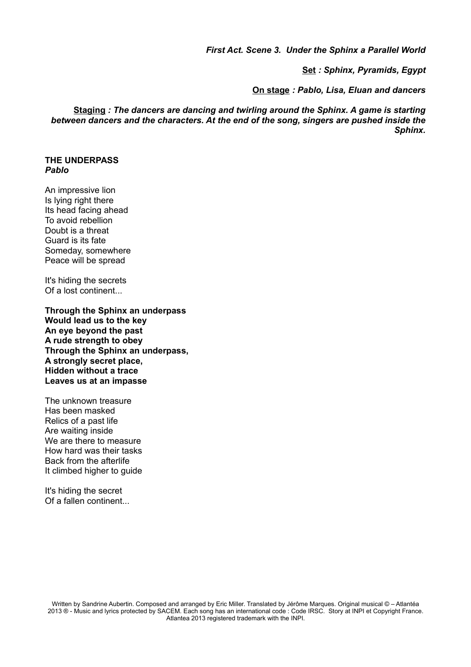*First Act. Scene 3. Under the Sphinx a Parallel World*

**Set** *: Sphinx, Pyramids, Egypt*

**On stage** *: Pablo, Lisa, Eluan and dancers*

**Staging** *: The dancers are dancing and twirling around the Sphinx. A game is starting between dancers and the characters. At the end of the song, singers are pushed inside the Sphinx.*

### **THE UNDERPASS** *Pablo*

An impressive lion Is lying right there Its head facing ahead To avoid rebellion Doubt is a threat Guard is its fate Someday, somewhere Peace will be spread

It's hiding the secrets Of a lost continent...

**Through the Sphinx an underpass Would lead us to the key An eye beyond the past A rude strength to obey Through the Sphinx an underpass, A strongly secret place, Hidden without a trace Leaves us at an impasse**

The unknown treasure Has been masked Relics of a past life Are waiting inside We are there to measure How hard was their tasks Back from the afterlife It climbed higher to guide

It's hiding the secret Of a fallen continent...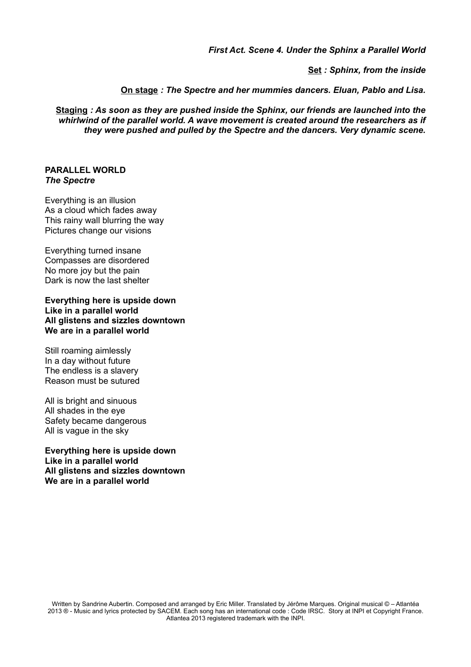*First Act. Scene 4. Under the Sphinx a Parallel World*

**Set** *: Sphinx, from the inside*

**On stage** *: The Spectre and her mummies dancers. Eluan, Pablo and Lisa.*

**Staging** *: As soon as they are pushed inside the Sphinx, our friends are launched into the whirlwind of the parallel world. A wave movement is created around the researchers as if they were pushed and pulled by the Spectre and the dancers. Very dynamic scene.*

#### **PARALLEL WORLD** *The Spectre*

Everything is an illusion As a cloud which fades away This rainy wall blurring the way Pictures change our visions

Everything turned insane Compasses are disordered No more joy but the pain Dark is now the last shelter

**Everything here is upside down Like in a parallel world All glistens and sizzles downtown We are in a parallel world**

Still roaming aimlessly In a day without future The endless is a slavery Reason must be sutured

All is bright and sinuous All shades in the eye Safety became dangerous All is vague in the sky

**Everything here is upside down Like in a parallel world All glistens and sizzles downtown We are in a parallel world**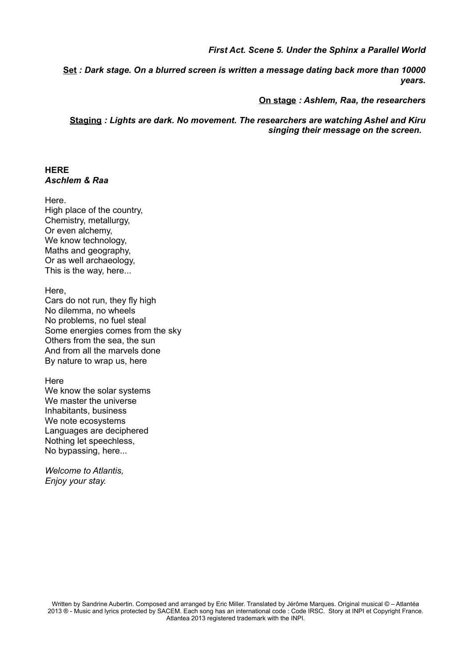*First Act. Scene 5. Under the Sphinx a Parallel World*

**Set** *: Dark stage. On a blurred screen is written a message dating back more than 10000 years.*

**On stage** *: Ashlem, Raa, the researchers*

**Staging** *: Lights are dark. No movement. The researchers are watching Ashel and Kiru singing their message on the screen.* 

#### **HERE** *Aschlem & Raa*

Here. High place of the country, Chemistry, metallurgy, Or even alchemy, We know technology, Maths and geography, Or as well archaeology, This is the way, here...

Here, Cars do not run, they fly high

No dilemma, no wheels No problems, no fuel steal Some energies comes from the sky Others from the sea, the sun And from all the marvels done By nature to wrap us, here

**Here** 

We know the solar systems We master the universe Inhabitants, business We note ecosystems Languages are deciphered Nothing let speechless, No bypassing, here...

*Welcome to Atlantis, Enjoy your stay.*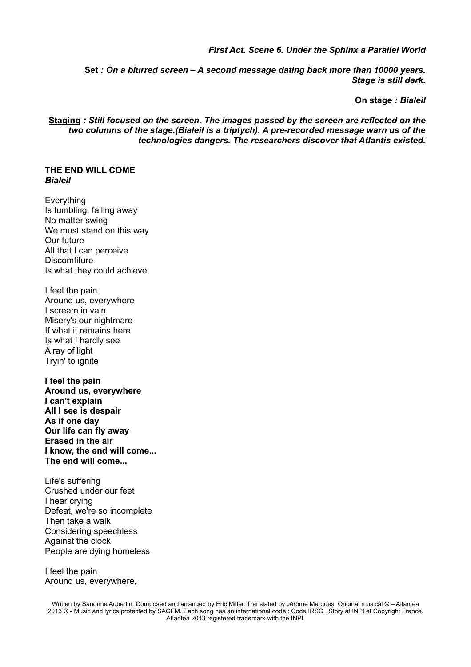#### *First Act. Scene 6. Under the Sphinx a Parallel World*

**Set** *: On a blurred screen – A second message dating back more than 10000 years. Stage is still dark.*

**On stage** *: Bialeil*

**Staging** *: Still focused on the screen. The images passed by the screen are reflected on the two columns of the stage.(Bialeil is a triptych). A pre-recorded message warn us of the technologies dangers. The researchers discover that Atlantis existed.*

#### **THE END WILL COME** *Bialeil*

Everything Is tumbling, falling away No matter swing We must stand on this way Our future All that I can perceive **Discomfiture** Is what they could achieve

I feel the pain Around us, everywhere I scream in vain Misery's our nightmare If what it remains here Is what I hardly see A ray of light Tryin' to ignite

**I feel the pain Around us, everywhere I can't explain All I see is despair As if one day Our life can fly away Erased in the air I know, the end will come... The end will come...**

Life's suffering Crushed under our feet I hear crying Defeat, we're so incomplete Then take a walk Considering speechless Against the clock People are dying homeless

I feel the pain Around us, everywhere,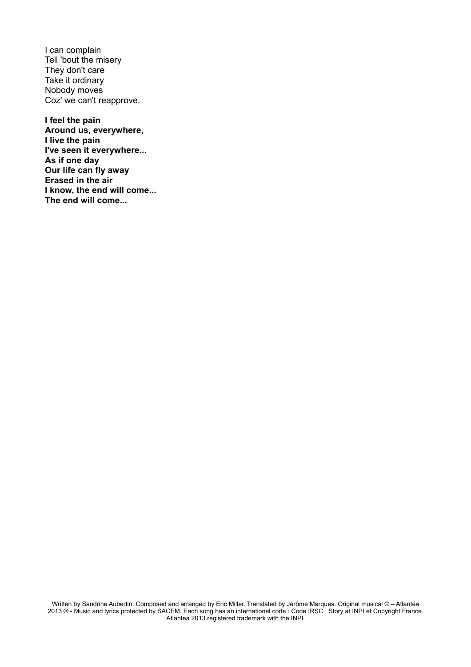I can complain Tell 'bout the misery They don't care Take it ordinary Nobody moves Coz' we can't reapprove.

**I feel the pain Around us, everywhere, I live the pain I've seen it everywhere... As if one day Our life can fly away Erased in the air I know, the end will come... The end will come...**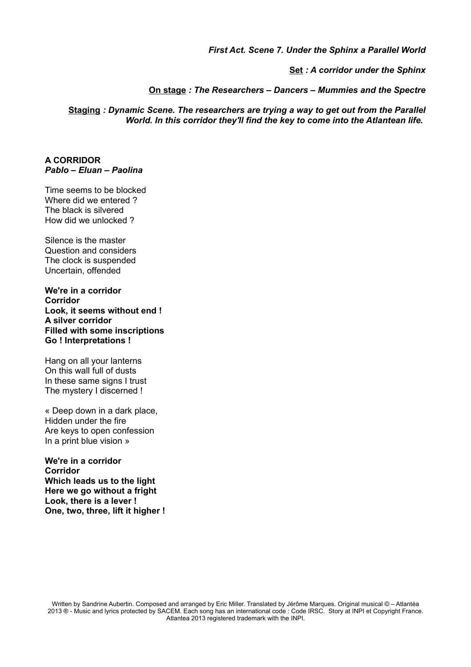*First Act. Scene 7. Under the Sphinx a Parallel World*

**Set** *: A corridor under the Sphinx*

**On stage** *: The Researchers – Dancers – Mummies and the Spectre*

**Staging** *: Dynamic Scene. The researchers are trying a way to get out from the Parallel World. In this corridor they'll find the key to come into the Atlantean life.* 

#### **A CORRIDOR** *Pablo – Eluan – Paolina*

Time seems to be blocked Where did we entered ? The black is silvered How did we unlocked ?

Silence is the master Question and considers The clock is suspended Uncertain, offended

**We're in a corridor Corridor Look, it seems without end ! A silver corridor Filled with some inscriptions Go ! Interpretations !**

Hang on all your lanterns On this wall full of dusts In these same signs I trust The mystery I discerned !

« Deep down in a dark place, Hidden under the fire Are keys to open confession In a print blue vision »

**We're in a corridor Corridor Which leads us to the light Here we go without a fright Look, there is a lever ! One, two, three, lift it higher !**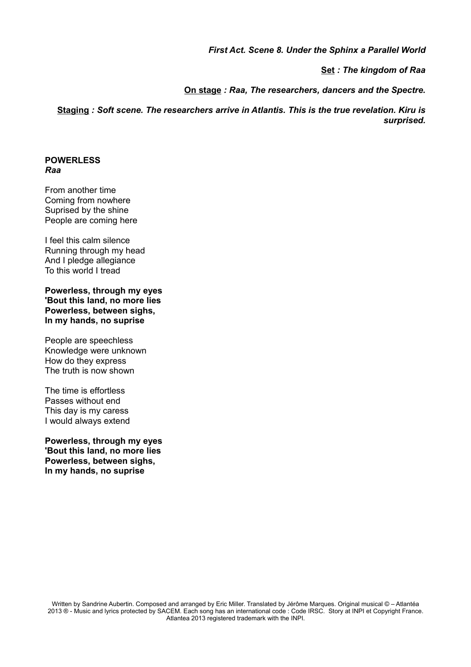#### *First Act. Scene 8. Under the Sphinx a Parallel World*

**Set** *: The kingdom of Raa*

**On stage** *: Raa, The researchers, dancers and the Spectre.*

**Staging** *: Soft scene. The researchers arrive in Atlantis. This is the true revelation. Kiru is surprised.*

#### **POWERLESS** *Raa*

From another time Coming from nowhere Suprised by the shine People are coming here

I feel this calm silence Running through my head And I pledge allegiance To this world I tread

**Powerless, through my eyes 'Bout this land, no more lies Powerless, between sighs, In my hands, no suprise**

People are speechless Knowledge were unknown How do they express The truth is now shown

The time is effortless Passes without end This day is my caress I would always extend

**Powerless, through my eyes 'Bout this land, no more lies Powerless, between sighs, In my hands, no suprise**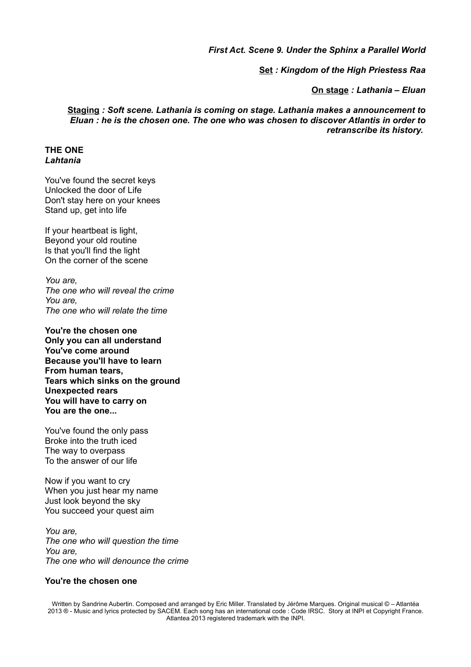*First Act. Scene 9. Under the Sphinx a Parallel World*

**Set** *: Kingdom of the High Priestess Raa*

**On stage** *: Lathania – Eluan*

**Staging** *: Soft scene. Lathania is coming on stage. Lathania makes a announcement to Eluan : he is the chosen one. The one who was chosen to discover Atlantis in order to retranscribe its history.* 

#### **THE ONE** *Lahtania*

You've found the secret keys Unlocked the door of Life Don't stay here on your knees Stand up, get into life

If your heartbeat is light, Beyond your old routine Is that you'll find the light On the corner of the scene

*You are, The one who will reveal the crime You are, The one who will relate the time*

**You're the chosen one Only you can all understand You've come around Because you'll have to learn From human tears, Tears which sinks on the ground Unexpected rears You will have to carry on You are the one...**

You've found the only pass Broke into the truth iced The way to overpass To the answer of our life

Now if you want to cry When you just hear my name Just look beyond the sky You succeed your quest aim

*You are, The one who will question the time You are, The one who will denounce the crime*

#### **You're the chosen one**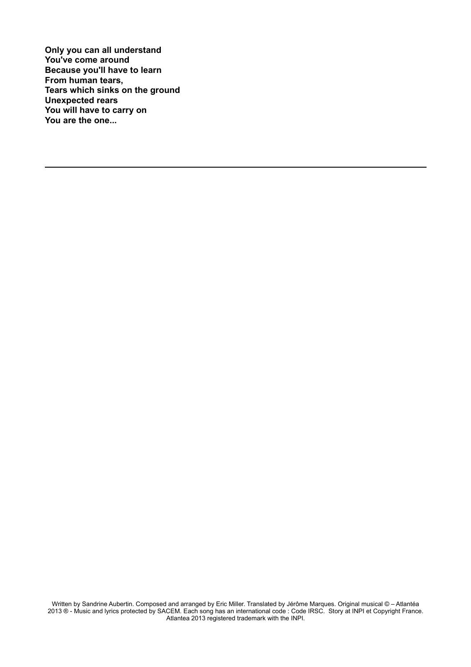**Only you can all understand You've come around Because you'll have to learn From human tears, Tears which sinks on the ground Unexpected rears You will have to carry on You are the one...**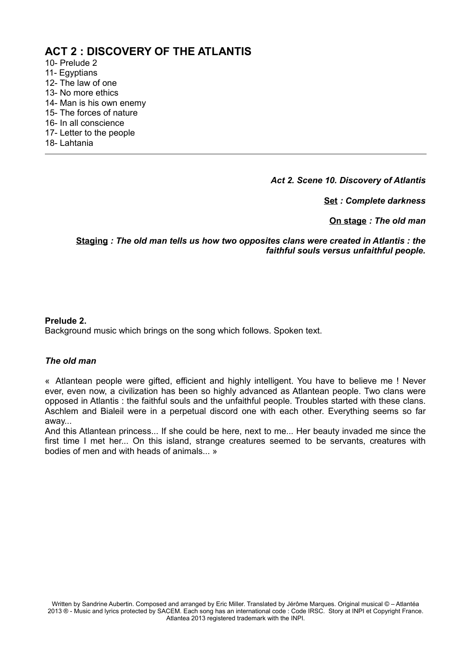# **ACT 2 : DISCOVERY OF THE ATLANTIS**

- 10- Prelude 2
- 11- Egyptians
- 12- The law of one
- 13- No more ethics
- 14- Man is his own enemy
- 15- The forces of nature
- 16- In all conscience
- 17- Letter to the people
- 18- Lahtania

*Act 2. Scene 10. Discovery of Atlantis*

**Set** *: Complete darkness*

**On stage** *: The old man*

**Staging** *: The old man tells us how two opposites clans were created in Atlantis : the faithful souls versus unfaithful people.*

#### **Prelude 2.**

Background music which brings on the song which follows. Spoken text.

#### *The old man*

« Atlantean people were gifted, efficient and highly intelligent. You have to believe me ! Never ever, even now, a civilization has been so highly advanced as Atlantean people. Two clans were opposed in Atlantis : the faithful souls and the unfaithful people. Troubles started with these clans. Aschlem and Bialeil were in a perpetual discord one with each other. Everything seems so far away...

And this Atlantean princess... If she could be here, next to me... Her beauty invaded me since the first time I met her... On this island, strange creatures seemed to be servants, creatures with bodies of men and with heads of animals... »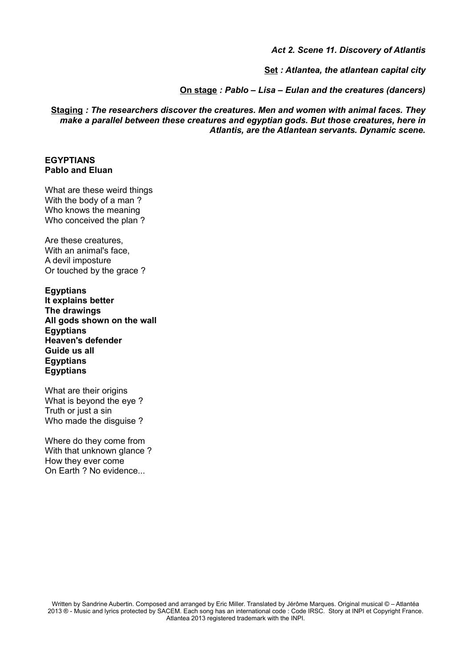*Act 2. Scene 11. Discovery of Atlantis*

**Set** *: Atlantea, the atlantean capital city*

**On stage** *: Pablo – Lisa – Eulan and the creatures (dancers)*

**Staging** *: The researchers discover the creatures. Men and women with animal faces. They make a parallel between these creatures and egyptian gods. But those creatures, here in Atlantis, are the Atlantean servants. Dynamic scene.*

#### **EGYPTIANS Pablo and Eluan**

What are these weird things With the body of a man ? Who knows the meaning Who conceived the plan ?

Are these creatures, With an animal's face, A devil imposture Or touched by the grace ?

**Egyptians It explains better The drawings All gods shown on the wall Egyptians Heaven's defender Guide us all Egyptians Egyptians**

What are their origins What is beyond the eye ? Truth or just a sin Who made the disguise ?

Where do they come from With that unknown glance ? How they ever come On Earth ? No evidence...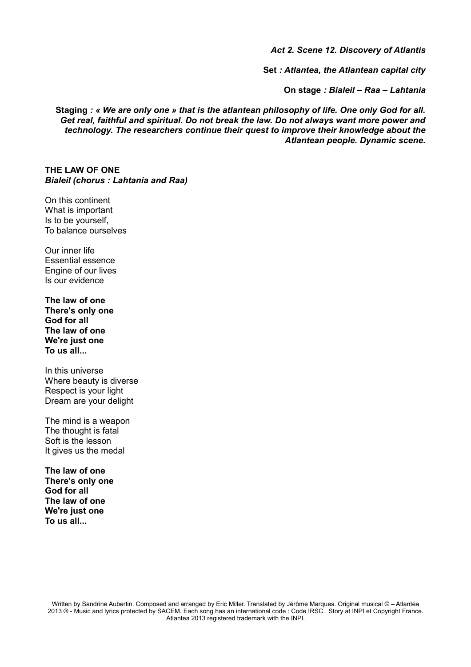*Act 2. Scene 12. Discovery of Atlantis*

**Set** *: Atlantea, the Atlantean capital city*

**On stage** *: Bialeil – Raa – Lahtania*

**Staging** *: « We are only one » that is the atlantean philosophy of life. One only God for all. Get real, faithful and spiritual. Do not break the law. Do not always want more power and technology. The researchers continue their quest to improve their knowledge about the Atlantean people. Dynamic scene.*

**THE LAW OF ONE** *Bialeil (chorus : Lahtania and Raa)*

On this continent What is important Is to be yourself, To balance ourselves

Our inner life Essential essence Engine of our lives Is our evidence

**The law of one There's only one God for all The law of one We're just one To us all...**

In this universe Where beauty is diverse Respect is your light Dream are your delight

The mind is a weapon The thought is fatal Soft is the lesson It gives us the medal

**The law of one There's only one God for all The law of one We're just one To us all...**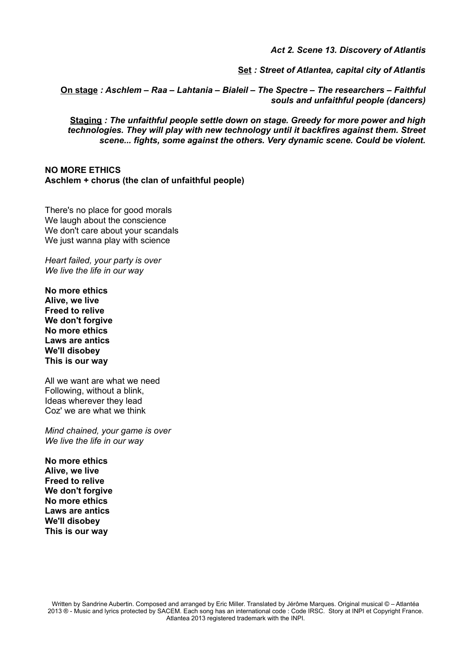*Act 2. Scene 13. Discovery of Atlantis*

**Set** *: Street of Atlantea, capital city of Atlantis*

**On stage** *: Aschlem – Raa – Lahtania – Bialeil – The Spectre – The researchers – Faithful souls and unfaithful people (dancers)*

**Staging** *: The unfaithful people settle down on stage. Greedy for more power and high technologies. They will play with new technology until it backfires against them. Street scene... fights, some against the others. Very dynamic scene. Could be violent.*

**NO MORE ETHICS Aschlem + chorus (the clan of unfaithful people)**

There's no place for good morals We laugh about the conscience We don't care about your scandals We just wanna play with science

*Heart failed, your party is over We live the life in our way*

**No more ethics Alive, we live Freed to relive We don't forgive No more ethics Laws are antics We'll disobey This is our way**

All we want are what we need Following, without a blink, Ideas wherever they lead Coz' we are what we think

*Mind chained, your game is over We live the life in our way*

**No more ethics Alive, we live Freed to relive We don't forgive No more ethics Laws are antics We'll disobey This is our way**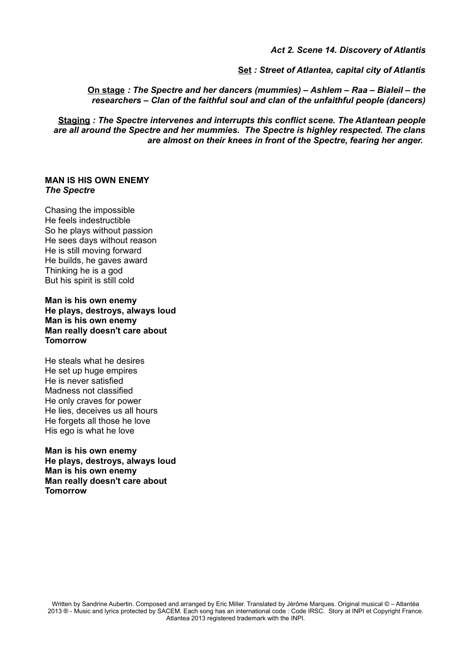*Act 2. Scene 14. Discovery of Atlantis*

**Set** *: Street of Atlantea, capital city of Atlantis*

**On stage** *: The Spectre and her dancers (mummies) – Ashlem – Raa – Bialeil – the researchers – Clan of the faithful soul and clan of the unfaithful people (dancers)*

**Staging** *: The Spectre intervenes and interrupts this conflict scene. The Atlantean people are all around the Spectre and her mummies. The Spectre is highley respected. The clans are almost on their knees in front of the Spectre, fearing her anger.* 

#### **MAN IS HIS OWN ENEMY** *The Spectre*

Chasing the impossible He feels indestructible So he plays without passion He sees days without reason He is still moving forward He builds, he gaves award Thinking he is a god But his spirit is still cold

**Man is his own enemy He plays, destroys, always loud Man is his own enemy Man really doesn't care about Tomorrow**

He steals what he desires He set up huge empires He is never satisfied Madness not classified He only craves for power He lies, deceives us all hours He forgets all those he love His ego is what he love

**Man is his own enemy He plays, destroys, always loud Man is his own enemy Man really doesn't care about Tomorrow**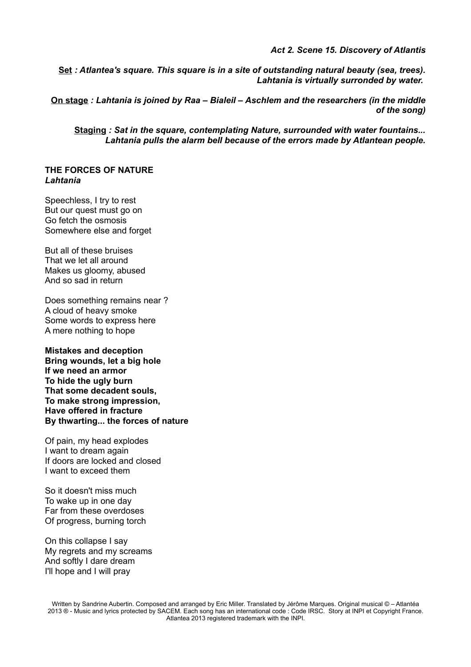*Act 2. Scene 15. Discovery of Atlantis*

**Set** *: Atlantea's square. This square is in a site of outstanding natural beauty (sea, trees). Lahtania is virtually surronded by water.* 

**On stage** *: Lahtania is joined by Raa – Bialeil – Aschlem and the researchers (in the middle of the song)*

**Staging** *: Sat in the square, contemplating Nature, surrounded with water fountains... Lahtania pulls the alarm bell because of the errors made by Atlantean people.*

#### **THE FORCES OF NATURE** *Lahtania*

Speechless, I try to rest But our quest must go on Go fetch the osmosis Somewhere else and forget

But all of these bruises That we let all around Makes us gloomy, abused And so sad in return

Does something remains near ? A cloud of heavy smoke Some words to express here A mere nothing to hope

**Mistakes and deception Bring wounds, let a big hole If we need an armor To hide the ugly burn That some decadent souls, To make strong impression, Have offered in fracture By thwarting... the forces of nature**

Of pain, my head explodes I want to dream again If doors are locked and closed I want to exceed them

So it doesn't miss much To wake up in one day Far from these overdoses Of progress, burning torch

On this collapse I say My regrets and my screams And softly I dare dream I'll hope and I will pray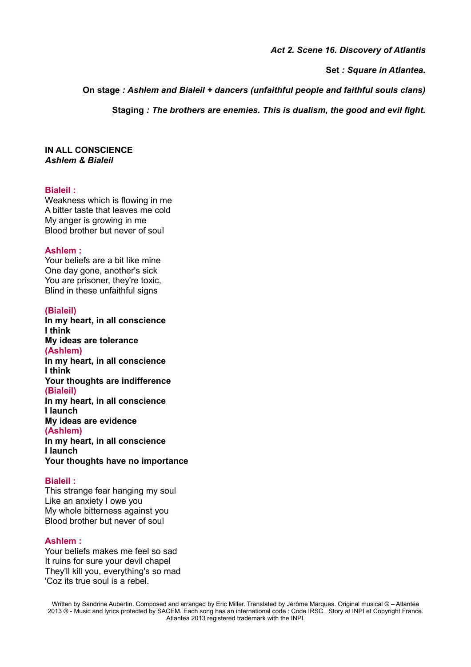*Act 2. Scene 16. Discovery of Atlantis*

**Set** *: Square in Atlantea.*

**On stage** *: Ashlem and Bialeil + dancers (unfaithful people and faithful souls clans)*

**Staging** *: The brothers are enemies. This is dualism, the good and evil fight.*

#### **IN ALL CONSCIENCE** *Ashlem & Bialeil*

#### **Bialeil :**

Weakness which is flowing in me A bitter taste that leaves me cold My anger is growing in me Blood brother but never of soul

#### **Ashlem :**

Your beliefs are a bit like mine One day gone, another's sick You are prisoner, they're toxic, Blind in these unfaithful signs

#### **(Bialeil)**

**In my heart, in all conscience I think My ideas are tolerance (Ashlem) In my heart, in all conscience I think Your thoughts are indifference (Bialeil) In my heart, in all conscience I launch My ideas are evidence (Ashlem) In my heart, in all conscience I launch Your thoughts have no importance**

#### **Bialeil :**

This strange fear hanging my soul Like an anxiety I owe you My whole bitterness against you Blood brother but never of soul

#### **Ashlem :**

Your beliefs makes me feel so sad It ruins for sure your devil chapel They'll kill you, everything's so mad 'Coz its true soul is a rebel.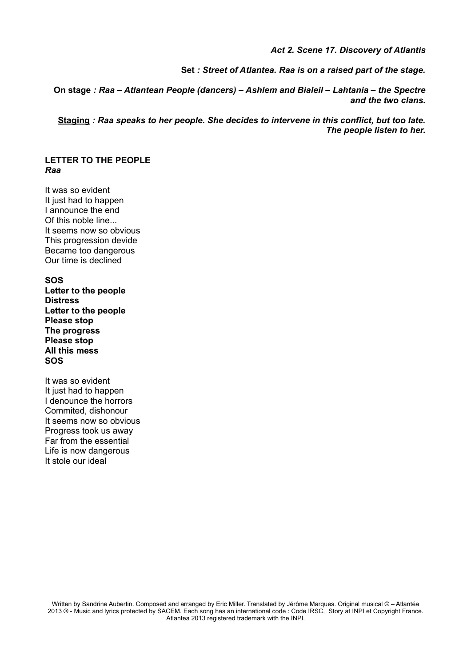*Act 2. Scene 17. Discovery of Atlantis*

**Set** *: Street of Atlantea. Raa is on a raised part of the stage.*

**On stage** *: Raa – Atlantean People (dancers) – Ashlem and Bialeil – Lahtania – the Spectre and the two clans.*

**Staging** *: Raa speaks to her people. She decides to intervene in this conflict, but too late. The people listen to her.*

#### **LETTER TO THE PEOPLE** *Raa*

It was so evident It just had to happen I announce the end Of this noble line... It seems now so obvious This progression devide Became too dangerous Our time is declined

**SOS Letter to the people Distress Letter to the people Please stop The progress Please stop All this mess SOS**

It was so evident It just had to happen I denounce the horrors Commited, dishonour It seems now so obvious Progress took us away Far from the essential Life is now dangerous It stole our ideal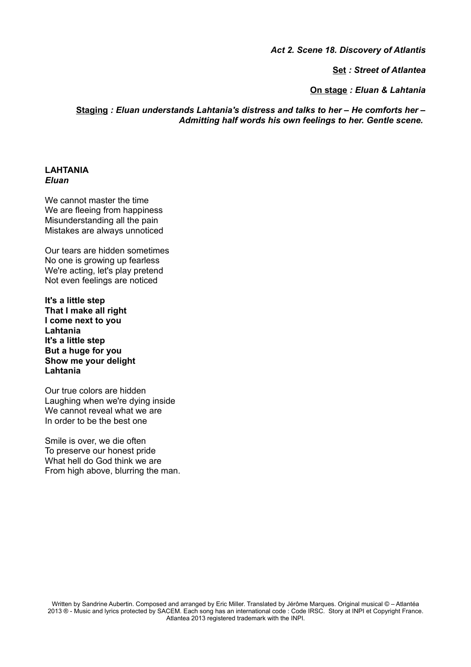*Act 2. Scene 18. Discovery of Atlantis*

**Set** *: Street of Atlantea*

**On stage** *: Eluan & Lahtania*

**Staging** *: Eluan understands Lahtania's distress and talks to her – He comforts her – Admitting half words his own feelings to her. Gentle scene.* 

#### **LAHTANIA** *Eluan*

We cannot master the time We are fleeing from happiness Misunderstanding all the pain Mistakes are always unnoticed

Our tears are hidden sometimes No one is growing up fearless We're acting, let's play pretend Not even feelings are noticed

**It's a little step That I make all right I come next to you Lahtania It's a little step But a huge for you Show me your delight Lahtania**

Our true colors are hidden Laughing when we're dying inside We cannot reveal what we are In order to be the best one

Smile is over, we die often To preserve our honest pride What hell do God think we are From high above, blurring the man.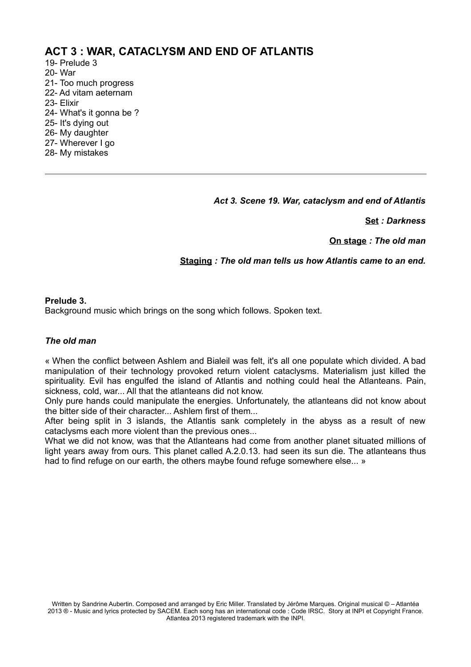## **ACT 3 : WAR, CATACLYSM AND END OF ATLANTIS**

- 19- Prelude 3
- 20- War
- 21- Too much progress
- 22- Ad vitam aeternam
- 23- Elixir
- 24- What's it gonna be ?
- 25- It's dying out
- 26- My daughter
- 27- Wherever I go
- 28- My mistakes

*Act 3. Scene 19. War, cataclysm and end of Atlantis*

**Set** *: Darkness*

**On stage** *: The old man*

#### **Staging** *: The old man tells us how Atlantis came to an end.*

#### **Prelude 3.**

Background music which brings on the song which follows. Spoken text.

#### *The old man*

« When the conflict between Ashlem and Bialeil was felt, it's all one populate which divided. A bad manipulation of their technology provoked return violent cataclysms. Materialism just killed the spirituality. Evil has engulfed the island of Atlantis and nothing could heal the Atlanteans. Pain, sickness, cold, war... All that the atlanteans did not know.

Only pure hands could manipulate the energies. Unfortunately, the atlanteans did not know about the bitter side of their character... Ashlem first of them...

After being split in 3 islands, the Atlantis sank completely in the abyss as a result of new cataclysms each more violent than the previous ones...

What we did not know, was that the Atlanteans had come from another planet situated millions of light years away from ours. This planet called A.2.0.13. had seen its sun die. The atlanteans thus had to find refuge on our earth, the others maybe found refuge somewhere else... »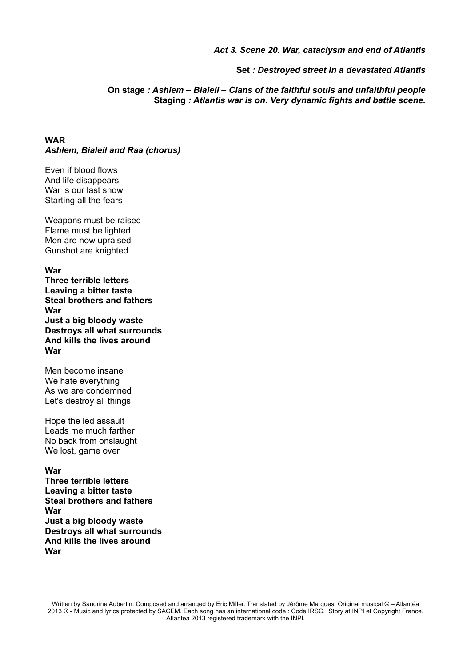#### *Act 3. Scene 20. War, cataclysm and end of Atlantis*

**Set** *: Destroyed street in a devastated Atlantis*

**On stage** *: Ashlem – Bialeil – Clans of the faithful souls and unfaithful people* **Staging** *: Atlantis war is on. Very dynamic fights and battle scene.*

**WAR** *Ashlem, Bialeil and Raa (chorus)*

Even if blood flows And life disappears War is our last show Starting all the fears

Weapons must be raised Flame must be lighted Men are now upraised Gunshot are knighted

**War**

**Three terrible letters Leaving a bitter taste Steal brothers and fathers War Just a big bloody waste Destroys all what surrounds And kills the lives around War**

Men become insane We hate everything As we are condemned Let's destroy all things

Hope the led assault Leads me much farther No back from onslaught We lost, game over

**War**

**Three terrible letters Leaving a bitter taste Steal brothers and fathers War Just a big bloody waste Destroys all what surrounds And kills the lives around War**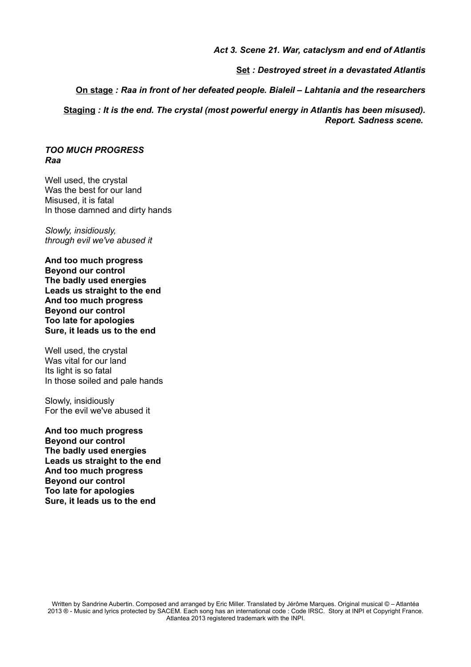#### *Act 3. Scene 21. War, cataclysm and end of Atlantis*

**Set** *: Destroyed street in a devastated Atlantis*

**On stage** *: Raa in front of her defeated people. Bialeil – Lahtania and the researchers*

**Staging** *: It is the end. The crystal (most powerful energy in Atlantis has been misused). Report. Sadness scene.* 

*TOO MUCH PROGRESS Raa*

Well used, the crystal Was the best for our land Misused, it is fatal In those damned and dirty hands

*Slowly, insidiously, through evil we've abused it*

**And too much progress Beyond our control The badly used energies Leads us straight to the end And too much progress Beyond our control Too late for apologies Sure, it leads us to the end**

Well used, the crystal Was vital for our land Its light is so fatal In those soiled and pale hands

Slowly, insidiously For the evil we've abused it

**And too much progress Beyond our control The badly used energies Leads us straight to the end And too much progress Beyond our control Too late for apologies Sure, it leads us to the end**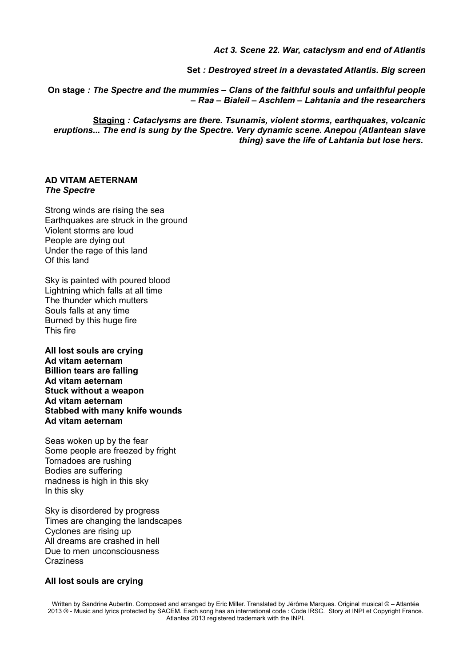*Act 3. Scene 22. War, cataclysm and end of Atlantis*

**Set** *: Destroyed street in a devastated Atlantis. Big screen*

**On stage** *: The Spectre and the mummies – Clans of the faithful souls and unfaithful people – Raa – Bialeil – Aschlem – Lahtania and the researchers*

**Staging** *: Cataclysms are there. Tsunamis, violent storms, earthquakes, volcanic eruptions... The end is sung by the Spectre. Very dynamic scene. Anepou (Atlantean slave thing) save the life of Lahtania but lose hers.* 

#### **AD VITAM AETERNAM** *The Spectre*

Strong winds are rising the sea Earthquakes are struck in the ground Violent storms are loud People are dying out Under the rage of this land Of this land

Sky is painted with poured blood Lightning which falls at all time The thunder which mutters Souls falls at any time Burned by this huge fire This fire

**All lost souls are crying Ad vitam aeternam Billion tears are falling Ad vitam aeternam Stuck without a weapon Ad vitam aeternam Stabbed with many knife wounds Ad vitam aeternam**

Seas woken up by the fear Some people are freezed by fright Tornadoes are rushing Bodies are suffering madness is high in this sky In this sky

Sky is disordered by progress Times are changing the landscapes Cyclones are rising up All dreams are crashed in hell Due to men unconsciousness **Craziness** 

#### **All lost souls are crying**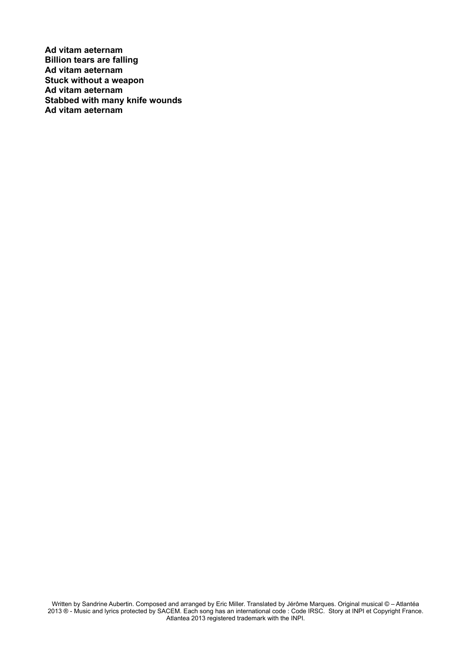**Ad vitam aeternam Billion tears are falling Ad vitam aeternam Stuck without a weapon Ad vitam aeternam Stabbed with many knife wounds Ad vitam aeternam**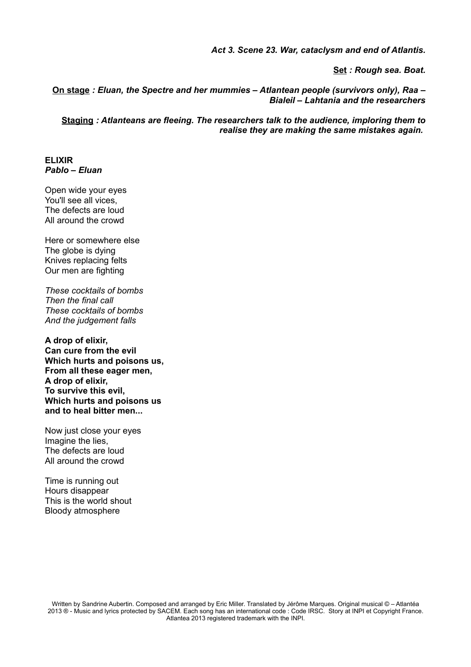*Act 3. Scene 23. War, cataclysm and end of Atlantis.*

**Set** *: Rough sea. Boat.*

**On stage** *: Eluan, the Spectre and her mummies – Atlantean people (survivors only), Raa – Bialeil – Lahtania and the researchers*

**Staging** *: Atlanteans are fleeing. The researchers talk to the audience, imploring them to realise they are making the same mistakes again.* 

### **ELIXIR**  *Pablo – Eluan*

Open wide your eyes You'll see all vices, The defects are loud All around the crowd

Here or somewhere else The globe is dying Knives replacing felts Our men are fighting

*These cocktails of bombs Then the final call These cocktails of bombs And the judgement falls*

**A drop of elixir, Can cure from the evil Which hurts and poisons us, From all these eager men, A drop of elixir, To survive this evil, Which hurts and poisons us and to heal bitter men...**

Now just close your eyes Imagine the lies, The defects are loud All around the crowd

Time is running out Hours disappear This is the world shout Bloody atmosphere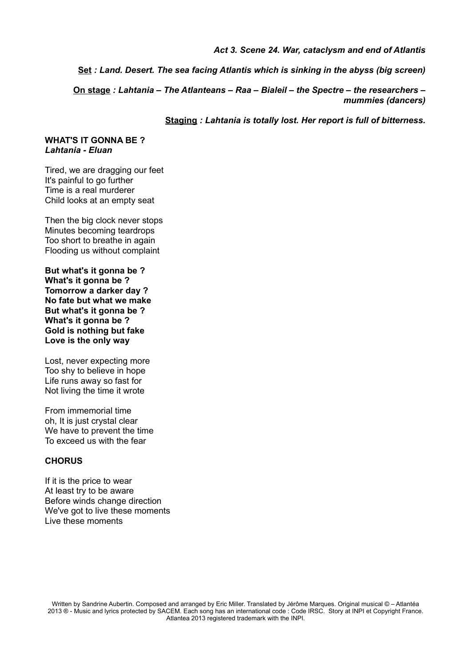#### *Act 3. Scene 24. War, cataclysm and end of Atlantis*

**Set** *: Land. Desert. The sea facing Atlantis which is sinking in the abyss (big screen)*

**On stage** *: Lahtania – The Atlanteans – Raa – Bialeil – the Spectre – the researchers – mummies (dancers)*

**Staging** *: Lahtania is totally lost. Her report is full of bitterness.*

#### **WHAT'S IT GONNA BE ?** *Lahtania - Eluan*

Tired, we are dragging our feet It's painful to go further Time is a real murderer Child looks at an empty seat

Then the big clock never stops Minutes becoming teardrops Too short to breathe in again Flooding us without complaint

**But what's it gonna be ? What's it gonna be ? Tomorrow a darker day ? No fate but what we make But what's it gonna be ? What's it gonna be ? Gold is nothing but fake Love is the only way**

Lost, never expecting more Too shy to believe in hope Life runs away so fast for Not living the time it wrote

From immemorial time oh, It is just crystal clear We have to prevent the time To exceed us with the fear

#### **CHORUS**

If it is the price to wear At least try to be aware Before winds change direction We've got to live these moments Live these moments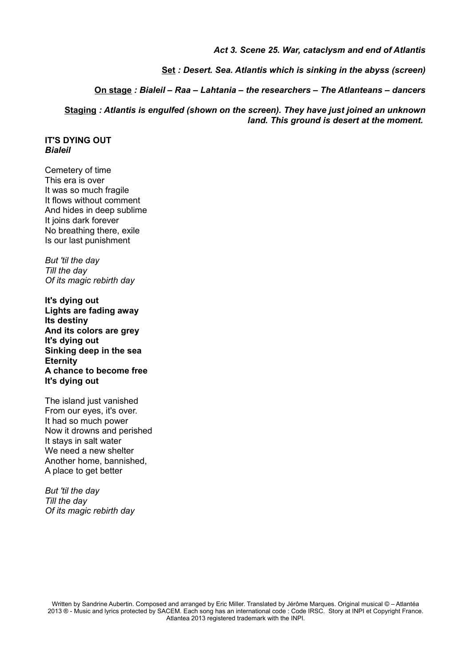#### *Act 3. Scene 25. War, cataclysm and end of Atlantis*

**Set** *: Desert. Sea. Atlantis which is sinking in the abyss (screen)*

**On stage** *: Bialeil – Raa – Lahtania – the researchers – The Atlanteans – dancers*

**Staging** *: Atlantis is engulfed (shown on the screen). They have just joined an unknown land. This ground is desert at the moment.* 

#### **IT'S DYING OUT** *Bialeil*

Cemetery of time This era is over It was so much fragile It flows without comment And hides in deep sublime It joins dark forever No breathing there, exile Is our last punishment

*But 'til the day Till the day Of its magic rebirth day*

**It's dying out Lights are fading away Its destiny And its colors are grey It's dying out Sinking deep in the sea Eternity A chance to become free It's dying out**

The island just vanished From our eyes, it's over. It had so much power Now it drowns and perished It stays in salt water We need a new shelter Another home, bannished, A place to get better

*But 'til the day Till the day Of its magic rebirth day*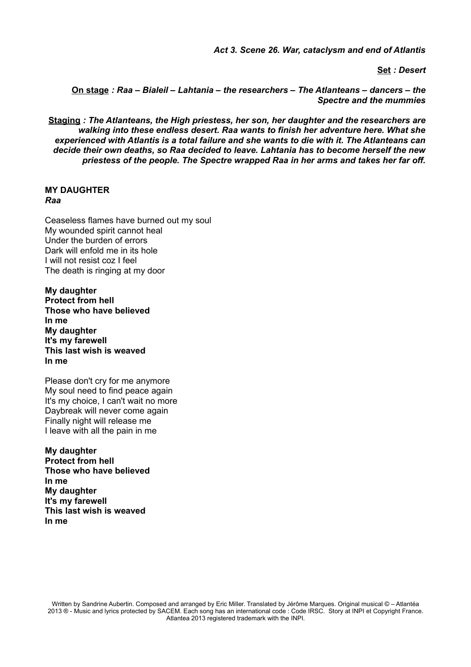*Act 3. Scene 26. War, cataclysm and end of Atlantis*

**Set** *: Desert*

**On stage** *: Raa – Bialeil – Lahtania – the researchers – The Atlanteans – dancers – the Spectre and the mummies*

**Staging** *: The Atlanteans, the High priestess, her son, her daughter and the researchers are walking into these endless desert. Raa wants to finish her adventure here. What she experienced with Atlantis is a total failure and she wants to die with it. The Atlanteans can decide their own deaths, so Raa decided to leave. Lahtania has to become herself the new priestess of the people. The Spectre wrapped Raa in her arms and takes her far off.*

### **MY DAUGHTER** *Raa*

Ceaseless flames have burned out my soul My wounded spirit cannot heal Under the burden of errors Dark will enfold me in its hole I will not resist coz I feel The death is ringing at my door

**My daughter Protect from hell Those who have believed In me My daughter It's my farewell This last wish is weaved In me**

Please don't cry for me anymore My soul need to find peace again It's my choice, I can't wait no more Daybreak will never come again Finally night will release me I leave with all the pain in me

**My daughter Protect from hell Those who have believed In me My daughter It's my farewell This last wish is weaved In me**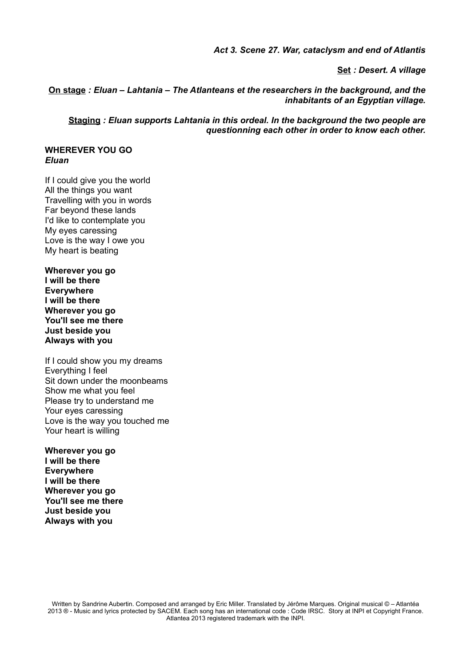*Act 3. Scene 27. War, cataclysm and end of Atlantis*

**Set** *: Desert. A village*

**On stage** *: Eluan – Lahtania – The Atlanteans et the researchers in the background, and the inhabitants of an Egyptian village.*

**Staging** *: Eluan supports Lahtania in this ordeal. In the background the two people are questionning each other in order to know each other.*

**WHEREVER YOU GO** *Eluan*

If I could give you the world All the things you want Travelling with you in words Far beyond these lands I'd like to contemplate you My eyes caressing Love is the way I owe you My heart is beating

**Wherever you go I will be there Everywhere I will be there Wherever you go You'll see me there Just beside you Always with you**

If I could show you my dreams Everything I feel Sit down under the moonbeams Show me what you feel Please try to understand me Your eyes caressing Love is the way you touched me Your heart is willing

**Wherever you go I will be there Everywhere I will be there Wherever you go You'll see me there Just beside you Always with you**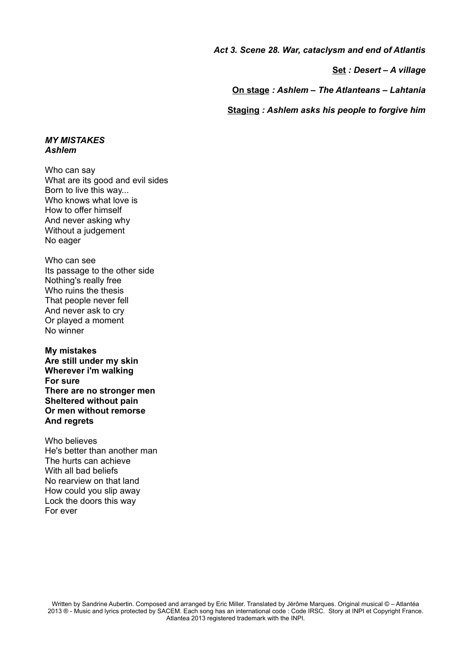*Act 3. Scene 28. War, cataclysm and end of Atlantis*

**Set** *: Desert – A village*

**On stage** *: Ashlem – The Atlanteans – Lahtania*

**Staging** *: Ashlem asks his people to forgive him*

#### *MY MISTAKES Ashlem*

Who can say What are its good and evil sides Born to live this way... Who knows what love is How to offer himself And never asking why Without a judgement No eager

Who can see Its passage to the other side Nothing's really free Who ruins the thesis That people never fell And never ask to cry Or played a moment No winner

**My mistakes Are still under my skin Wherever i'm walking For sure There are no stronger men Sheltered without pain Or men without remorse And regrets**

Who believes He's better than another man The hurts can achieve With all bad beliefs No rearview on that land How could you slip away Lock the doors this way For ever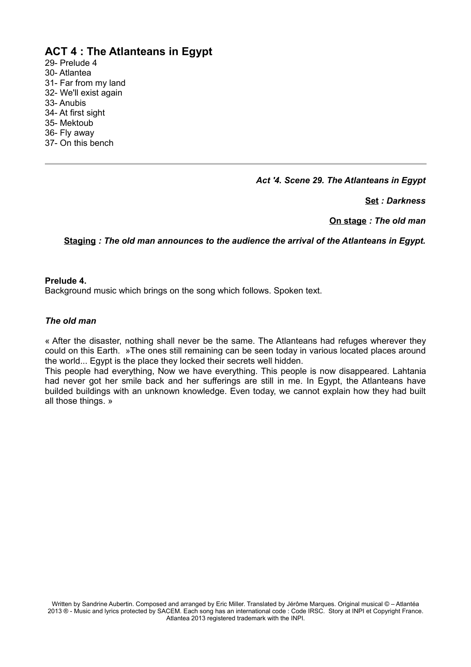# **ACT 4 : The Atlanteans in Egypt**

29- Prelude 4 30- Atlantea 31- Far from my land 32- We'll exist again 33- Anubis 34- At first sight 35- Mektoub 36- Fly away 37- On this bench

*Act '4. Scene 29. The Atlanteans in Egypt*

**Set** *: Darkness*

**On stage** *: The old man*

**Staging** *: The old man announces to the audience the arrival of the Atlanteans in Egypt.*

#### **Prelude 4.**

Background music which brings on the song which follows. Spoken text.

#### *The old man*

« After the disaster, nothing shall never be the same. The Atlanteans had refuges wherever they could on this Earth. »The ones still remaining can be seen today in various located places around the world... Egypt is the place they locked their secrets well hidden.

This people had everything, Now we have everything. This people is now disappeared. Lahtania had never got her smile back and her sufferings are still in me. In Egypt, the Atlanteans have builded buildings with an unknown knowledge. Even today, we cannot explain how they had built all those things. »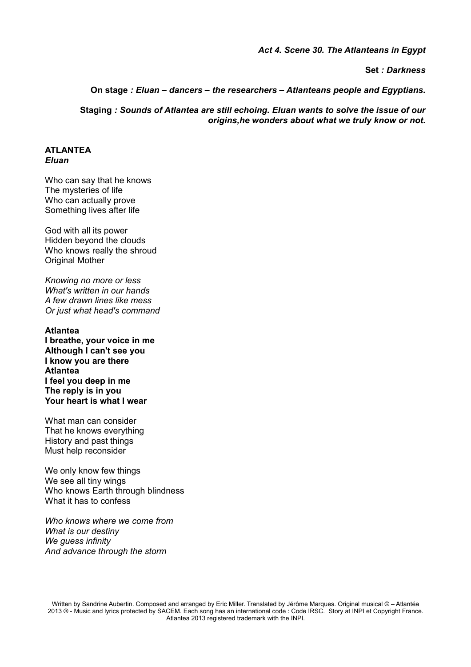#### *Act 4. Scene 30. The Atlanteans in Egypt*

**Set** *: Darkness*

**On stage** *: Eluan – dancers – the researchers – Atlanteans people and Egyptians.*

**Staging** *: Sounds of Atlantea are still echoing. Eluan wants to solve the issue of our origins,he wonders about what we truly know or not.*

#### **ATLANTEA** *Eluan*

Who can say that he knows The mysteries of life Who can actually prove Something lives after life

God with all its power Hidden beyond the clouds Who knows really the shroud Original Mother

*Knowing no more or less What's written in our hands A few drawn lines like mess Or just what head's command*

#### **Atlantea**

**I breathe, your voice in me Although I can't see you I know you are there Atlantea I feel you deep in me The reply is in you Your heart is what I wear**

What man can consider That he knows everything History and past things Must help reconsider

We only know few things We see all tiny wings Who knows Earth through blindness What it has to confess

*Who knows where we come from What is our destiny We guess infinity And advance through the storm*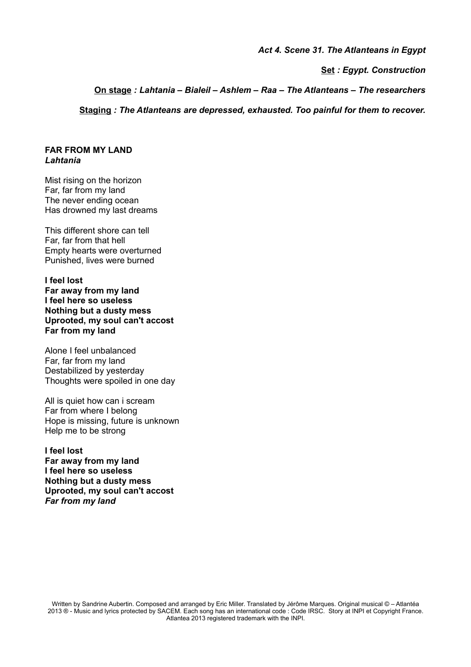*Act 4. Scene 31. The Atlanteans in Egypt*

**Set** *: Egypt. Construction*

**On stage** *: Lahtania – Bialeil – Ashlem – Raa – The Atlanteans – The researchers*

**Staging** *: The Atlanteans are depressed, exhausted. Too painful for them to recover.*

#### **FAR FROM MY LAND** *Lahtania*

Mist rising on the horizon Far, far from my land The never ending ocean Has drowned my last dreams

This different shore can tell Far, far from that hell Empty hearts were overturned Punished, lives were burned

**I feel lost Far away from my land I feel here so useless Nothing but a dusty mess Uprooted, my soul can't accost Far from my land**

Alone I feel unbalanced Far, far from my land Destabilized by yesterday Thoughts were spoiled in one day

All is quiet how can i scream Far from where I belong Hope is missing, future is unknown Help me to be strong

**I feel lost Far away from my land I feel here so useless Nothing but a dusty mess Uprooted, my soul can't accost** *Far from my land*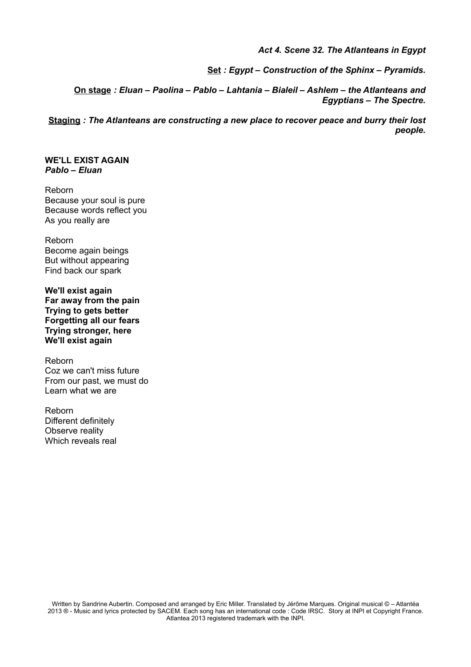*Act 4. Scene 32. The Atlanteans in Egypt*

**Set** *: Egypt – Construction of the Sphinx – Pyramids.*

**On stage** *: Eluan – Paolina – Pablo – Lahtania – Bialeil – Ashlem – the Atlanteans and Egyptians – The Spectre.*

**Staging** *: The Atlanteans are constructing a new place to recover peace and burry their lost people.*

**WE'LL EXIST AGAIN** *Pablo – Eluan*

Reborn Because your soul is pure Because words reflect you As you really are

Reborn Become again beings But without appearing Find back our spark

**We'll exist again Far away from the pain Trying to gets better Forgetting all our fears Trying stronger, here We'll exist again**

Reborn Coz we can't miss future From our past, we must do Learn what we are

Reborn Different definitely Observe reality Which reveals real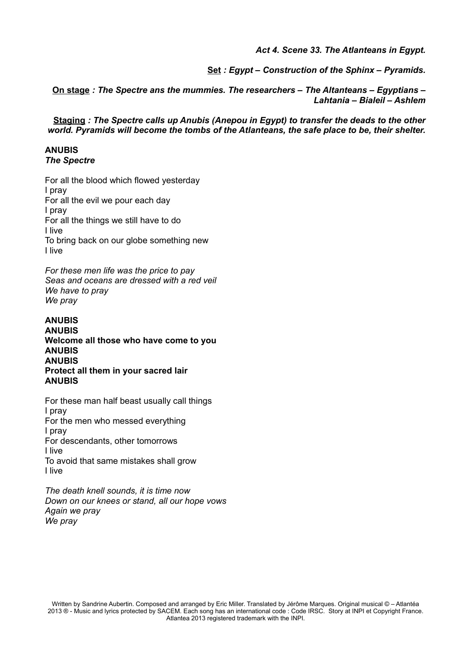*Act 4. Scene 33. The Atlanteans in Egypt.*

**Set** *: Egypt – Construction of the Sphinx – Pyramids.*

**On stage** *: The Spectre ans the mummies. The researchers – The Altanteans – Egyptians – Lahtania – Bialeil – Ashlem*

**Staging** *: The Spectre calls up Anubis (Anepou in Egypt) to transfer the deads to the other world. Pyramids will become the tombs of the Atlanteans, the safe place to be, their shelter.*

# **ANUBIS**

*The Spectre*

For all the blood which flowed yesterday I pray For all the evil we pour each day I pray For all the things we still have to do I live To bring back on our globe something new I live

*For these men life was the price to pay Seas and oceans are dressed with a red veil We have to pray We pray*

#### **ANUBIS ANUBIS Welcome all those who have come to you ANUBIS ANUBIS Protect all them in your sacred lair ANUBIS**

For these man half beast usually call things I pray For the men who messed everything I pray For descendants, other tomorrows I live To avoid that same mistakes shall grow I live

*The death knell sounds, it is time now Down on our knees or stand, all our hope vows Again we pray We pray*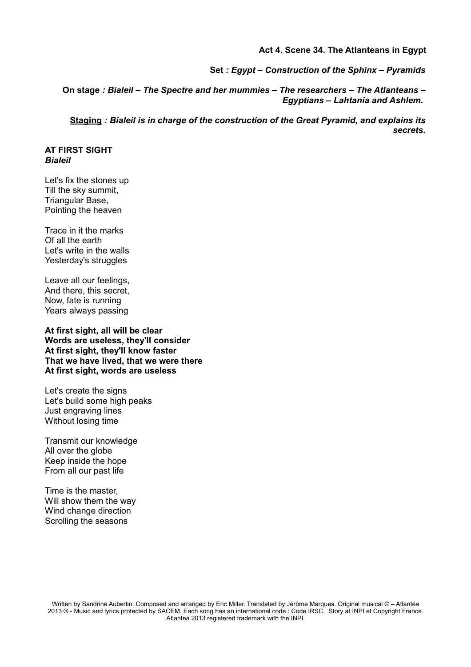#### **Act 4. Scene 34. The Atlanteans in Egypt**

**Set** *: Egypt – Construction of the Sphinx – Pyramids*

**On stage** *: Bialeil – The Spectre and her mummies – The researchers – The Atlanteans – Egyptians – Lahtania and Ashlem.* 

**Staging** *: Bialeil is in charge of the construction of the Great Pyramid, and explains its secrets.*

#### **AT FIRST SIGHT** *Bialeil*

Let's fix the stones up Till the sky summit, Triangular Base, Pointing the heaven

Trace in it the marks Of all the earth Let's write in the walls Yesterday's struggles

Leave all our feelings, And there, this secret, Now, fate is running Years always passing

**At first sight, all will be clear Words are useless, they'll consider At first sight, they'll know faster That we have lived, that we were there At first sight, words are useless**

Let's create the signs Let's build some high peaks Just engraving lines Without losing time

Transmit our knowledge All over the globe Keep inside the hope From all our past life

Time is the master, Will show them the way Wind change direction Scrolling the seasons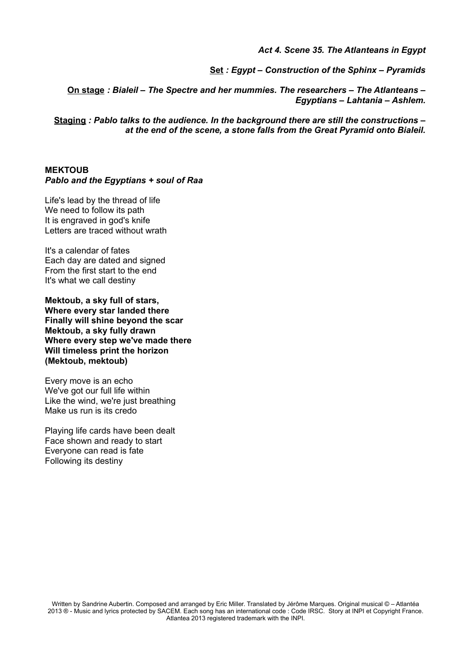*Act 4. Scene 35. The Atlanteans in Egypt*

**Set** *: Egypt – Construction of the Sphinx – Pyramids*

**On stage** *: Bialeil – The Spectre and her mummies. The researchers – The Atlanteans – Egyptians – Lahtania – Ashlem.*

**Staging** *: Pablo talks to the audience. In the background there are still the constructions – at the end of the scene, a stone falls from the Great Pyramid onto Bialeil.*

#### **MEKTOUB** *Pablo and the Egyptians + soul of Raa*

Life's lead by the thread of life We need to follow its path It is engraved in god's knife Letters are traced without wrath

It's a calendar of fates Each day are dated and signed From the first start to the end It's what we call destiny

**Mektoub, a sky full of stars, Where every star landed there Finally will shine beyond the scar Mektoub, a sky fully drawn Where every step we've made there Will timeless print the horizon (Mektoub, mektoub)**

Every move is an echo We've got our full life within Like the wind, we're just breathing Make us run is its credo

Playing life cards have been dealt Face shown and ready to start Everyone can read is fate Following its destiny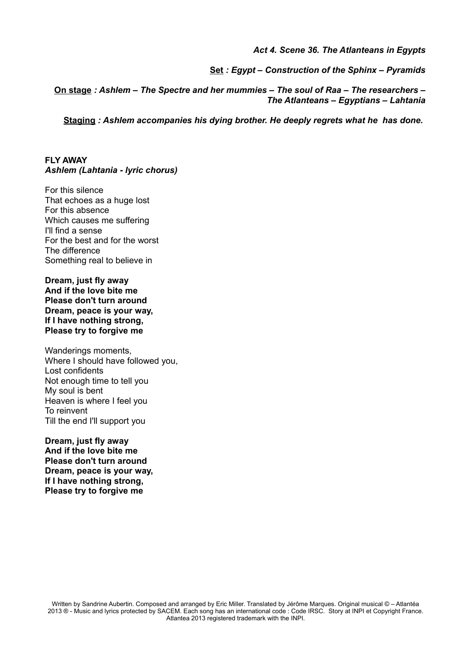*Act 4. Scene 36. The Atlanteans in Egypts*

**Set** *: Egypt – Construction of the Sphinx – Pyramids*

**On stage** *: Ashlem – The Spectre and her mummies – The soul of Raa – The researchers – The Atlanteans – Egyptians – Lahtania*

**Staging** *: Ashlem accompanies his dying brother. He deeply regrets what he has done.* 

**FLY AWAY** *Ashlem (Lahtania - lyric chorus)*

For this silence That echoes as a huge lost For this absence Which causes me suffering I'll find a sense For the best and for the worst The difference Something real to believe in

**Dream, just fly away And if the love bite me Please don't turn around Dream, peace is your way, If I have nothing strong, Please try to forgive me**

Wanderings moments, Where I should have followed you. Lost confidents Not enough time to tell you My soul is bent Heaven is where I feel you To reinvent Till the end I'll support you

**Dream, just fly away And if the love bite me Please don't turn around Dream, peace is your way, If I have nothing strong, Please try to forgive me**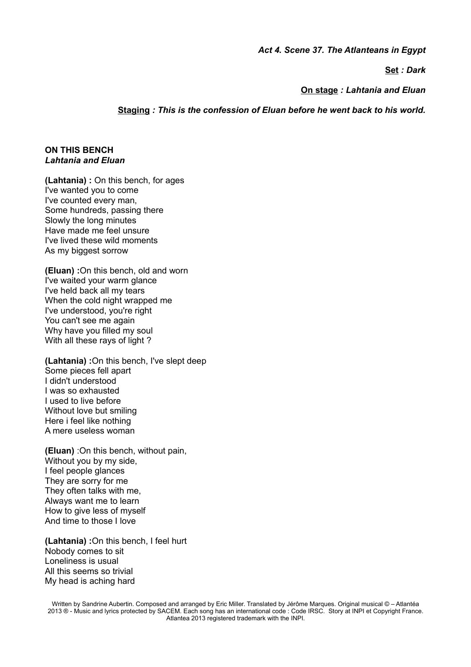*Act 4. Scene 37. The Atlanteans in Egypt*

**Set** *: Dark*

**On stage** *: Lahtania and Eluan*

**Staging** *: This is the confession of Eluan before he went back to his world.*

#### **ON THIS BENCH** *Lahtania and Eluan*

**(Lahtania) :** On this bench, for ages I've wanted you to come I've counted every man, Some hundreds, passing there Slowly the long minutes Have made me feel unsure I've lived these wild moments As my biggest sorrow

**(Eluan) :**On this bench, old and worn I've waited your warm glance I've held back all my tears When the cold night wrapped me I've understood, you're right You can't see me again Why have you filled my soul With all these rays of light ?

**(Lahtania) :**On this bench, I've slept deep Some pieces fell apart I didn't understood I was so exhausted I used to live before Without love but smiling Here i feel like nothing A mere useless woman

**(Eluan)** :On this bench, without pain, Without you by my side, I feel people glances They are sorry for me They often talks with me, Always want me to learn How to give less of myself And time to those I love

**(Lahtania) :**On this bench, I feel hurt Nobody comes to sit Loneliness is usual All this seems so trivial My head is aching hard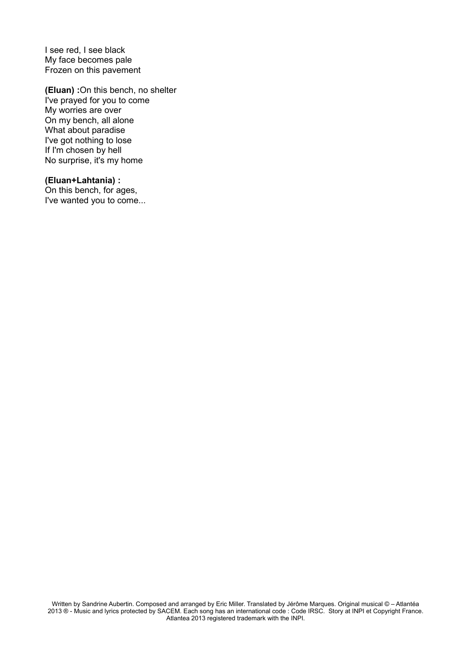I see red, I see black My face becomes pale Frozen on this pavement

**(Eluan) :**On this bench, no shelter I've prayed for you to come My worries are over On my bench, all alone What about paradise I've got nothing to lose If I'm chosen by hell No surprise, it's my home

#### **(Eluan+Lahtania) :**

On this bench, for ages, I've wanted you to come...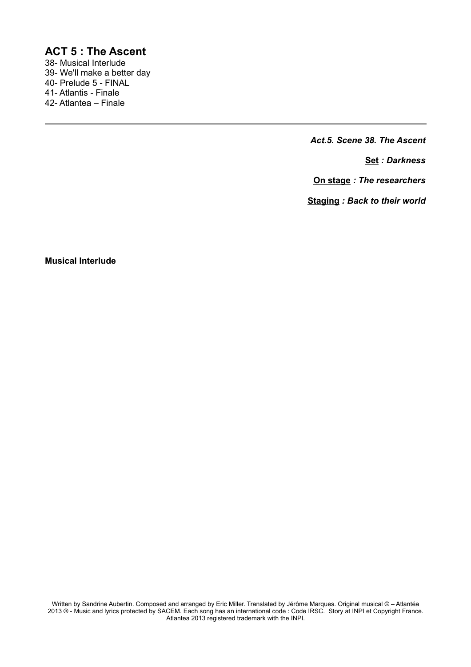### **ACT 5 : The Ascent**

38- Musical Interlude 39- We'll make a better day 40- Prelude 5 - FINAL 41- Atlantis - Finale 42- Atlantea – Finale

*Act.5. Scene 38. The Ascent*

**Set** *: Darkness*

**On stage** *: The researchers*

**Staging** *: Back to their world*

**Musical Interlude**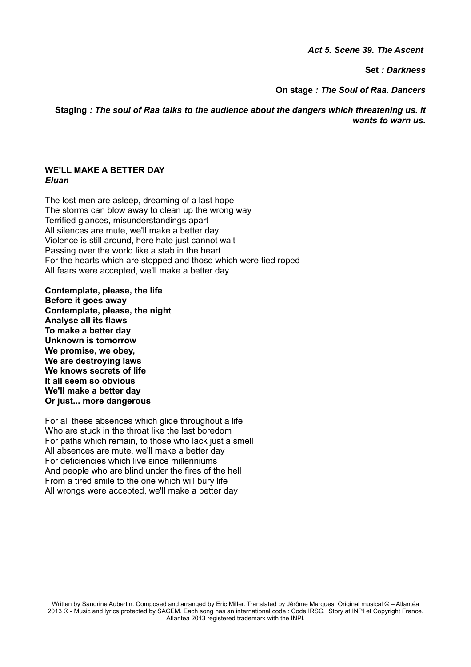*Act 5. Scene 39. The Ascent* 

**Set** *: Darkness*

**On stage** *: The Soul of Raa. Dancers*

**Staging** *: The soul of Raa talks to the audience about the dangers which threatening us. It wants to warn us.*

#### **WE'LL MAKE A BETTER DAY** *Eluan*

The lost men are asleep, dreaming of a last hope The storms can blow away to clean up the wrong way Terrified glances, misunderstandings apart All silences are mute, we'll make a better day Violence is still around, here hate just cannot wait Passing over the world like a stab in the heart For the hearts which are stopped and those which were tied roped All fears were accepted, we'll make a better day

**Contemplate, please, the life Before it goes away Contemplate, please, the night Analyse all its flaws To make a better day Unknown is tomorrow We promise, we obey, We are destroying laws We knows secrets of life It all seem so obvious We'll make a better day Or just... more dangerous**

For all these absences which glide throughout a life Who are stuck in the throat like the last boredom For paths which remain, to those who lack just a smell All absences are mute, we'll make a better day For deficiencies which live since millenniums And people who are blind under the fires of the hell From a tired smile to the one which will bury life All wrongs were accepted, we'll make a better day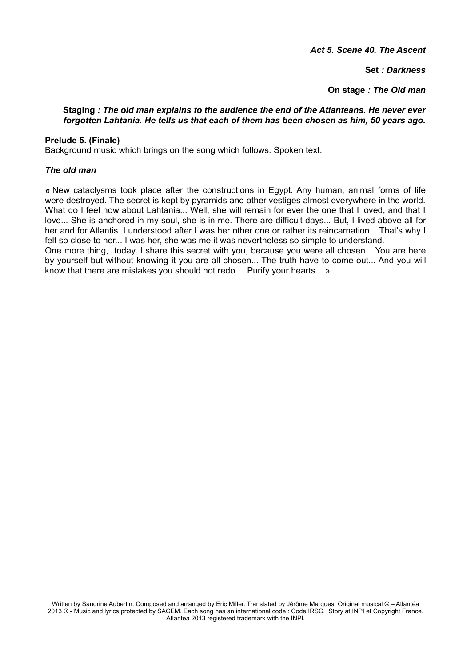*Act 5. Scene 40. The Ascent*

**Set** *: Darkness*

**On stage** *: The Old man*

#### **Staging** *: The old man explains to the audience the end of the Atlanteans. He never ever forgotten Lahtania. He tells us that each of them has been chosen as him, 50 years ago.*

#### **Prelude 5. (Finale)**

Background music which brings on the song which follows. Spoken text.

#### *The old man*

*«* New cataclysms took place after the constructions in Egypt. Any human, animal forms of life were destroyed. The secret is kept by pyramids and other vestiges almost everywhere in the world. What do I feel now about Lahtania... Well, she will remain for ever the one that I loved, and that I love... She is anchored in my soul, she is in me. There are difficult days... But, I lived above all for her and for Atlantis. I understood after I was her other one or rather its reincarnation... That's why I felt so close to her... I was her, she was me it was nevertheless so simple to understand. One more thing, today, I share this secret with you, because you were all chosen... You are here by yourself but without knowing it you are all chosen... The truth have to come out... And you will know that there are mistakes you should not redo ... Purify your hearts... »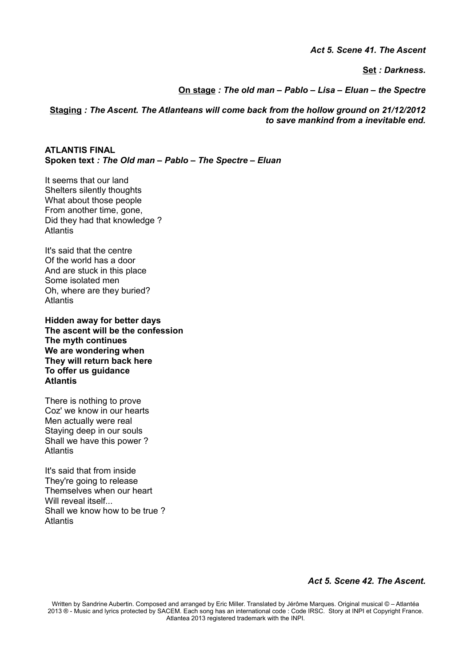*Act 5. Scene 41. The Ascent*

**Set** *: Darkness.*

**On stage** *: The old man – Pablo – Lisa – Eluan – the Spectre*

**Staging** *: The Ascent. The Atlanteans will come back from the hollow ground on 21/12/2012 to save mankind from a inevitable end.*

**ATLANTIS FINAL Spoken text** *: The Old man – Pablo – The Spectre – Eluan*

It seems that our land Shelters silently thoughts What about those people From another time, gone, Did they had that knowledge ? **Atlantis** 

It's said that the centre Of the world has a door And are stuck in this place Some isolated men Oh, where are they buried? Atlantis

**Hidden away for better days The ascent will be the confession The myth continues We are wondering when They will return back here To offer us guidance Atlantis**

There is nothing to prove Coz' we know in our hearts Men actually were real Staying deep in our souls Shall we have this power ? Atlantis

It's said that from inside They're going to release Themselves when our heart Will reveal itself Shall we know how to be true ? Atlantis

*Act 5. Scene 42. The Ascent.*